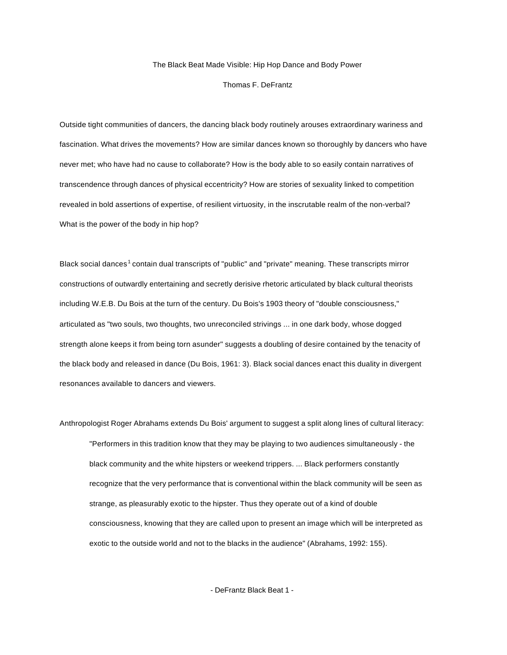The Black Beat Made Visible: Hip Hop Dance and Body Power

### Thomas F. DeFrantz

Outside tight communities of dancers, the dancing black body routinely arouses extraordinary wariness and fascination. What drives the movements? How are similar dances known so thoroughly by dancers who have never met; who have had no cause to collaborate? How is the body able to so easily contain narratives of transcendence through dances of physical eccentricity? How are stories of sexuality linked to competition revealed in bold assertions of expertise, of resilient virtuosity, in the inscrutable realm of the non-verbal? What is the power of the body in hip hop?

Black social dances<sup>1</sup> contain dual transcripts of "public" and "private" meaning. These transcripts mirror constructions of outwardly entertaining and secretly derisive rhetoric articulated by black cultural theorists including W.E.B. Du Bois at the turn of the century. Du Bois's 1903 theory of "double consciousness," articulated as "two souls, two thoughts, two unreconciled strivings ... in one dark body, whose dogged strength alone keeps it from being torn asunder" suggests a doubling of desire contained by the tenacity of the black body and released in dance (Du Bois, 1961: 3). Black social dances enact this duality in divergent resonances available to dancers and viewers.

Anthropologist Roger Abrahams extends Du Bois' argument to suggest a split along lines of cultural literacy:

"Performers in this tradition know that they may be playing to two audiences simultaneously - the black community and the white hipsters or weekend trippers. ... Black performers constantly recognize that the very performance that is conventional within the black community will be seen as strange, as pleasurably exotic to the hipster. Thus they operate out of a kind of double consciousness, knowing that they are called upon to present an image which will be interpreted as exotic to the outside world and not to the blacks in the audience" (Abrahams, 1992: 155).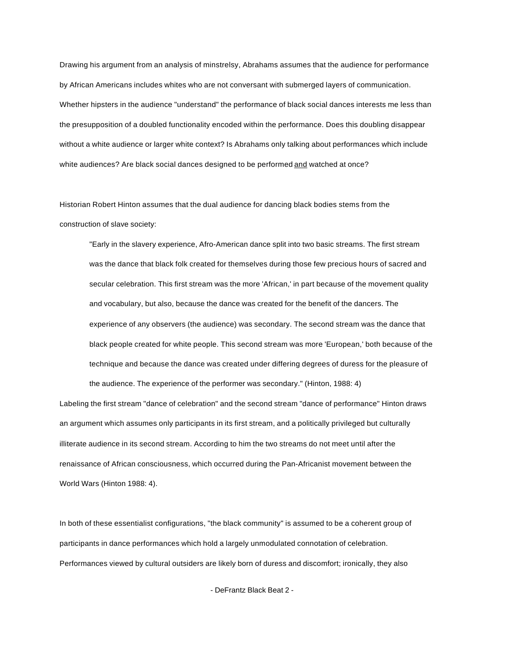Drawing his argument from an analysis of minstrelsy, Abrahams assumes that the audience for performance by African Americans includes whites who are not conversant with submerged layers of communication. Whether hipsters in the audience "understand" the performance of black social dances interests me less than the presupposition of a doubled functionality encoded within the performance. Does this doubling disappear without a white audience or larger white context? Is Abrahams only talking about performances which include white audiences? Are black social dances designed to be performed and watched at once?

Historian Robert Hinton assumes that the dual audience for dancing black bodies stems from the construction of slave society:

"Early in the slavery experience, Afro-American dance split into two basic streams. The first stream was the dance that black folk created for themselves during those few precious hours of sacred and secular celebration. This first stream was the more 'African,' in part because of the movement quality and vocabulary, but also, because the dance was created for the benefit of the dancers. The experience of any observers (the audience) was secondary. The second stream was the dance that black people created for white people. This second stream was more 'European,' both because of the technique and because the dance was created under differing degrees of duress for the pleasure of the audience. The experience of the performer was secondary." (Hinton, 1988: 4)

Labeling the first stream "dance of celebration" and the second stream "dance of performance" Hinton draws an argument which assumes only participants in its first stream, and a politically privileged but culturally illiterate audience in its second stream. According to him the two streams do not meet until after the renaissance of African consciousness, which occurred during the Pan-Africanist movement between the World Wars (Hinton 1988: 4).

In both of these essentialist configurations, "the black community" is assumed to be a coherent group of participants in dance performances which hold a largely unmodulated connotation of celebration. Performances viewed by cultural outsiders are likely born of duress and discomfort; ironically, they also

- DeFrantz Black Beat 2 -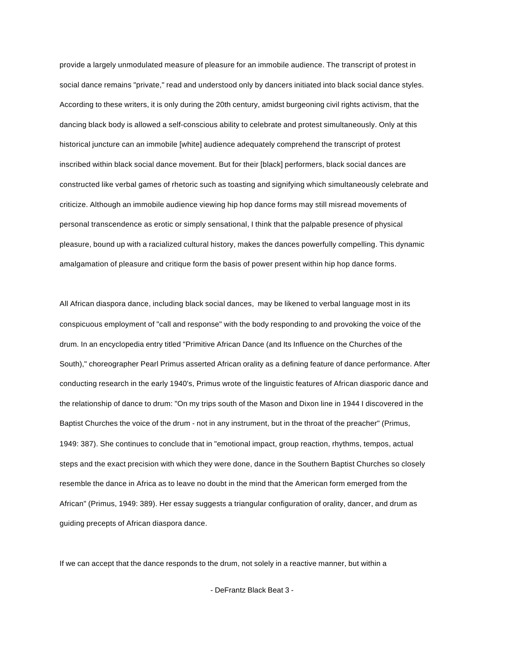provide a largely unmodulated measure of pleasure for an immobile audience. The transcript of protest in social dance remains "private," read and understood only by dancers initiated into black social dance styles. According to these writers, it is only during the 20th century, amidst burgeoning civil rights activism, that the dancing black body is allowed a self-conscious ability to celebrate and protest simultaneously. Only at this historical juncture can an immobile [white] audience adequately comprehend the transcript of protest inscribed within black social dance movement. But for their [black] performers, black social dances are constructed like verbal games of rhetoric such as toasting and signifying which simultaneously celebrate and criticize. Although an immobile audience viewing hip hop dance forms may still misread movements of personal transcendence as erotic or simply sensational, I think that the palpable presence of physical pleasure, bound up with a racialized cultural history, makes the dances powerfully compelling. This dynamic amalgamation of pleasure and critique form the basis of power present within hip hop dance forms.

All African diaspora dance, including black social dances, may be likened to verbal language most in its conspicuous employment of "call and response" with the body responding to and provoking the voice of the drum. In an encyclopedia entry titled "Primitive African Dance (and Its Influence on the Churches of the South)," choreographer Pearl Primus asserted African orality as a defining feature of dance performance. After conducting research in the early 1940's, Primus wrote of the linguistic features of African diasporic dance and the relationship of dance to drum: "On my trips south of the Mason and Dixon line in 1944 I discovered in the Baptist Churches the voice of the drum - not in any instrument, but in the throat of the preacher" (Primus, 1949: 387). She continues to conclude that in "emotional impact, group reaction, rhythms, tempos, actual steps and the exact precision with which they were done, dance in the Southern Baptist Churches so closely resemble the dance in Africa as to leave no doubt in the mind that the American form emerged from the African" (Primus, 1949: 389). Her essay suggests a triangular configuration of orality, dancer, and drum as guiding precepts of African diaspora dance.

If we can accept that the dance responds to the drum, not solely in a reactive manner, but within a

- DeFrantz Black Beat 3 -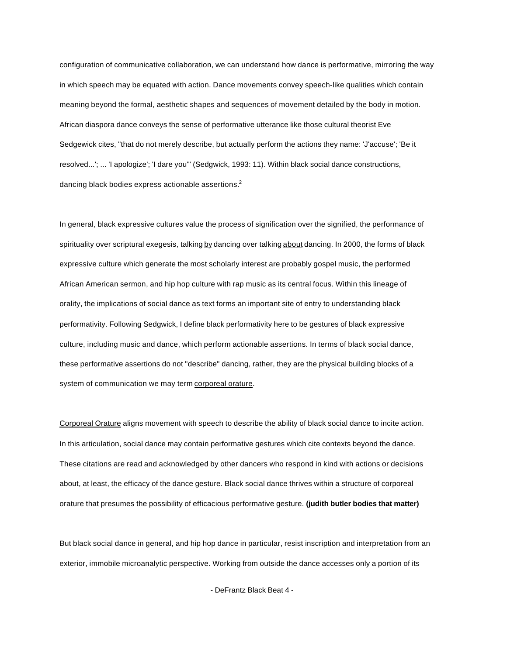configuration of communicative collaboration, we can understand how dance is performative, mirroring the way in which speech may be equated with action. Dance movements convey speech-like qualities which contain meaning beyond the formal, aesthetic shapes and sequences of movement detailed by the body in motion. African diaspora dance conveys the sense of performative utterance like those cultural theorist Eve Sedgewick cites, "that do not merely describe, but actually perform the actions they name: 'J'accuse'; 'Be it resolved...'; ... 'I apologize'; 'I dare you'" (Sedgwick, 1993: 11). Within black social dance constructions, dancing black bodies express actionable assertions.<sup>2</sup>

In general, black expressive cultures value the process of signification over the signified, the performance of spirituality over scriptural exegesis, talking by dancing over talking about dancing. In 2000, the forms of black expressive culture which generate the most scholarly interest are probably gospel music, the performed African American sermon, and hip hop culture with rap music as its central focus. Within this lineage of orality, the implications of social dance as text forms an important site of entry to understanding black performativity. Following Sedgwick, I define black performativity here to be gestures of black expressive culture, including music and dance, which perform actionable assertions. In terms of black social dance, these performative assertions do not "describe" dancing, rather, they are the physical building blocks of a system of communication we may term corporeal orature.

Corporeal Orature aligns movement with speech to describe the ability of black social dance to incite action. In this articulation, social dance may contain performative gestures which cite contexts beyond the dance. These citations are read and acknowledged by other dancers who respond in kind with actions or decisions about, at least, the efficacy of the dance gesture. Black social dance thrives within a structure of corporeal orature that presumes the possibility of efficacious performative gesture. **(judith butler bodies that matter)**

But black social dance in general, and hip hop dance in particular, resist inscription and interpretation from an exterior, immobile microanalytic perspective. Working from outside the dance accesses only a portion of its

- DeFrantz Black Beat 4 -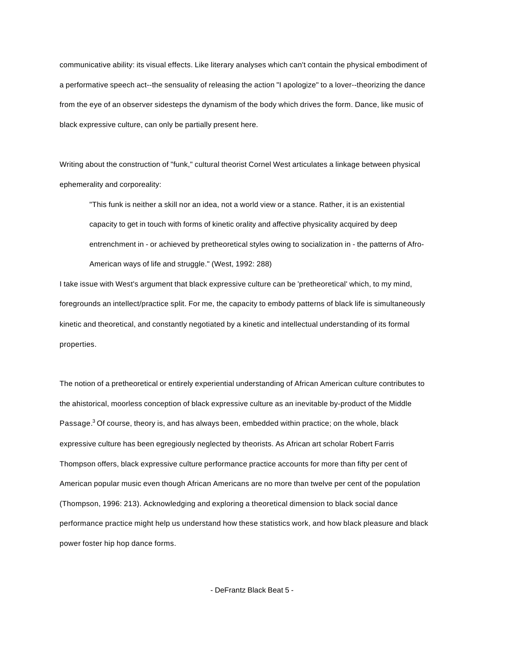communicative ability: its visual effects. Like literary analyses which can't contain the physical embodiment of a performative speech act--the sensuality of releasing the action "I apologize" to a lover--theorizing the dance from the eye of an observer sidesteps the dynamism of the body which drives the form. Dance, like music of black expressive culture, can only be partially present here.

Writing about the construction of "funk," cultural theorist Cornel West articulates a linkage between physical ephemerality and corporeality:

"This funk is neither a skill nor an idea, not a world view or a stance. Rather, it is an existential capacity to get in touch with forms of kinetic orality and affective physicality acquired by deep entrenchment in - or achieved by pretheoretical styles owing to socialization in - the patterns of Afro-American ways of life and struggle." (West, 1992: 288)

I take issue with West's argument that black expressive culture can be 'pretheoretical' which, to my mind, foregrounds an intellect/practice split. For me, the capacity to embody patterns of black life is simultaneously kinetic and theoretical, and constantly negotiated by a kinetic and intellectual understanding of its formal properties.

The notion of a pretheoretical or entirely experiential understanding of African American culture contributes to the ahistorical, moorless conception of black expressive culture as an inevitable by-product of the Middle Passage.<sup>3</sup> Of course, theory is, and has always been, embedded within practice; on the whole, black expressive culture has been egregiously neglected by theorists. As African art scholar Robert Farris Thompson offers, black expressive culture performance practice accounts for more than fifty per cent of American popular music even though African Americans are no more than twelve per cent of the population (Thompson, 1996: 213). Acknowledging and exploring a theoretical dimension to black social dance performance practice might help us understand how these statistics work, and how black pleasure and black power foster hip hop dance forms.

- DeFrantz Black Beat 5 -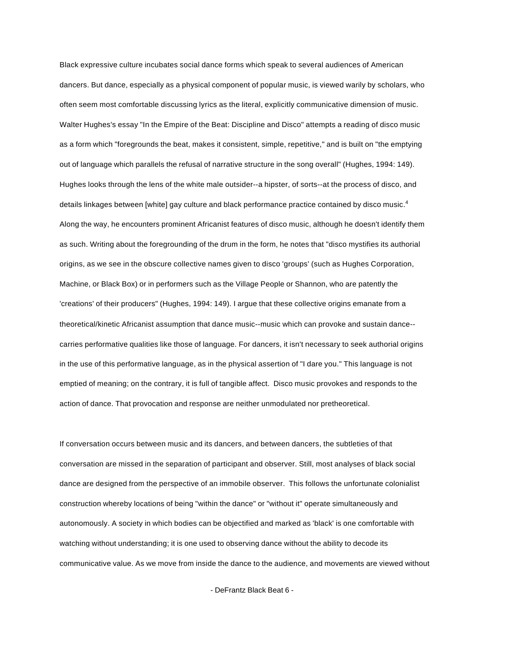Black expressive culture incubates social dance forms which speak to several audiences of American dancers. But dance, especially as a physical component of popular music, is viewed warily by scholars, who often seem most comfortable discussing lyrics as the literal, explicitly communicative dimension of music. Walter Hughes's essay "In the Empire of the Beat: Discipline and Disco" attempts a reading of disco music as a form which "foregrounds the beat, makes it consistent, simple, repetitive," and is built on "the emptying out of language which parallels the refusal of narrative structure in the song overall" (Hughes, 1994: 149). Hughes looks through the lens of the white male outsider--a hipster, of sorts--at the process of disco, and details linkages between [white] gay culture and black performance practice contained by disco music.<sup>4</sup> Along the way, he encounters prominent Africanist features of disco music, although he doesn't identify them as such. Writing about the foregrounding of the drum in the form, he notes that "disco mystifies its authorial origins, as we see in the obscure collective names given to disco 'groups' (such as Hughes Corporation, Machine, or Black Box) or in performers such as the Village People or Shannon, who are patently the 'creations' of their producers" (Hughes, 1994: 149). I argue that these collective origins emanate from a theoretical/kinetic Africanist assumption that dance music--music which can provoke and sustain dance- carries performative qualities like those of language. For dancers, it isn't necessary to seek authorial origins in the use of this performative language, as in the physical assertion of "I dare you." This language is not emptied of meaning; on the contrary, it is full of tangible affect. Disco music provokes and responds to the action of dance. That provocation and response are neither unmodulated nor pretheoretical.

If conversation occurs between music and its dancers, and between dancers, the subtleties of that conversation are missed in the separation of participant and observer. Still, most analyses of black social dance are designed from the perspective of an immobile observer. This follows the unfortunate colonialist construction whereby locations of being "within the dance" or "without it" operate simultaneously and autonomously. A society in which bodies can be objectified and marked as 'black' is one comfortable with watching without understanding; it is one used to observing dance without the ability to decode its communicative value. As we move from inside the dance to the audience, and movements are viewed without

- DeFrantz Black Beat 6 -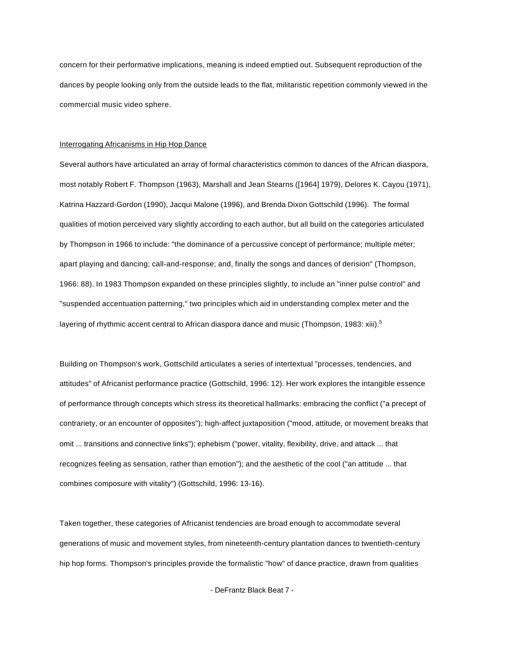concern for their performative implications, meaning is indeed emptied out. Subsequent reproduction of the dances by people looking only from the outside leads to the flat, militaristic repetition commonly viewed in the commercial music video sphere.

# Interrogating Africanisms in Hip Hop Dance

Several authors have articulated an array of formal characteristics common to dances of the African diaspora, most notably Robert F. Thompson (1963), Marshall and Jean Stearns ([1964] 1979), Delores K. Cayou (1971), Katrina Hazzard-Gordon (1990), Jacqui Malone (1996), and Brenda Dixon Gottschild (1996). The formal qualities of motion perceived vary slightly according to each author, but all build on the categories articulated by Thompson in 1966 to include: "the dominance of a percussive concept of performance; multiple meter; apart playing and dancing; call-and-response; and, finally the songs and dances of derision" (Thompson, 1966: 88). In 1983 Thompson expanded on these principles slightly, to include an "inner pulse control" and "suspended accentuation patterning," two principles which aid in understanding complex meter and the layering of rhythmic accent central to African diaspora dance and music (Thompson, 1983: xiii).<sup>5</sup>

Building on Thompson's work, Gottschild articulates a series of intertextual "processes, tendencies, and attitudes" of Africanist performance practice (Gottschild, 1996: 12). Her work explores the intangible essence of performance through concepts which stress its theoretical hallmarks: embracing the conflict ("a precept of contrariety, or an encounter of opposites"); high-affect juxtaposition ("mood, attitude, or movement breaks that omit ... transitions and connective links"); ephebism ("power, vitality, flexibility, drive, and attack ... that recognizes feeling as sensation, rather than emotion"); and the aesthetic of the cool ("an attitude ... that combines composure with vitality") (Gottschild, 1996: 13-16).

Taken together, these categories of Africanist tendencies are broad enough to accommodate several generations of music and movement styles, from nineteenth-century plantation dances to twentieth-century hip hop forms. Thompson's principles provide the formalistic "how" of dance practice, drawn from qualities

- DeFrantz Black Beat 7 -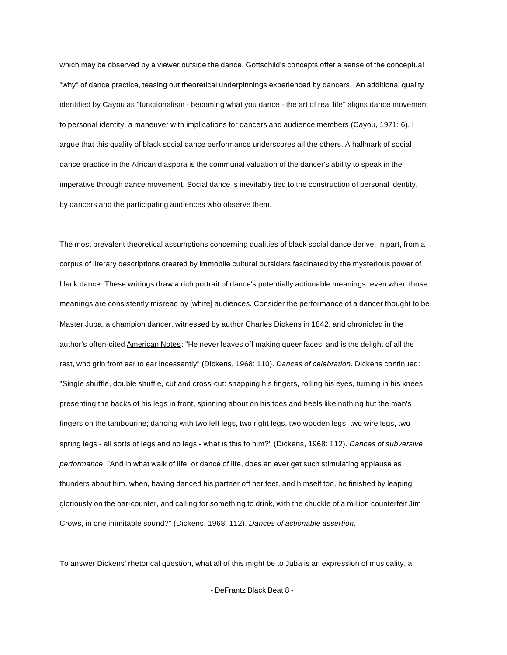which may be observed by a viewer outside the dance. Gottschild's concepts offer a sense of the conceptual "why" of dance practice, teasing out theoretical underpinnings experienced by dancers. An additional quality identified by Cayou as "functionalism - becoming what you dance - the art of real life" aligns dance movement to personal identity, a maneuver with implications for dancers and audience members (Cayou, 1971: 6). I argue that this quality of black social dance performance underscores all the others. A hallmark of social dance practice in the African diaspora is the communal valuation of the dancer's ability to speak in the imperative through dance movement. Social dance is inevitably tied to the construction of personal identity, by dancers and the participating audiences who observe them.

The most prevalent theoretical assumptions concerning qualities of black social dance derive, in part, from a corpus of literary descriptions created by immobile cultural outsiders fascinated by the mysterious power of black dance. These writings draw a rich portrait of dance's potentially actionable meanings, even when those meanings are consistently misread by [white] audiences. Consider the performance of a dancer thought to be Master Juba, a champion dancer, witnessed by author Charles Dickens in 1842, and chronicled in the author's often-cited American Notes: "He never leaves off making queer faces, and is the delight of all the rest, who grin from ear to ear incessantly" (Dickens, 1968: 110). *Dances of celebration*. Dickens continued: "Single shuffle, double shuffle, cut and cross-cut: snapping his fingers, rolling his eyes, turning in his knees, presenting the backs of his legs in front, spinning about on his toes and heels like nothing but the man's fingers on the tambourine; dancing with two left legs, two right legs, two wooden legs, two wire legs, two spring legs - all sorts of legs and no legs - what is this to him?" (Dickens, 1968: 112). *Dances of subversive performance*. "And in what walk of life, or dance of life, does an ever get such stimulating applause as thunders about him, when, having danced his partner off her feet, and himself too, he finished by leaping gloriously on the bar-counter, and calling for something to drink, with the chuckle of a million counterfeit Jim Crows, in one inimitable sound?" (Dickens, 1968: 112). *Dances of actionable assertion*.

To answer Dickens' rhetorical question, what all of this might be to Juba is an expression of musicality, a

- DeFrantz Black Beat 8 -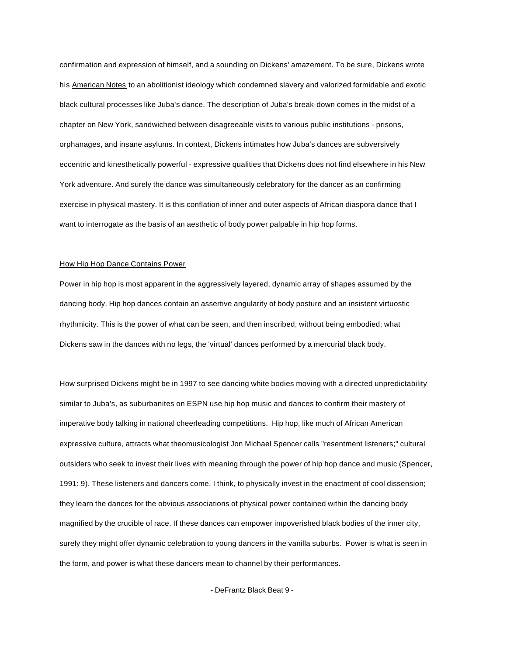confirmation and expression of himself, and a sounding on Dickens' amazement. To be sure, Dickens wrote his American Notes to an abolitionist ideology which condemned slavery and valorized formidable and exotic black cultural processes like Juba's dance. The description of Juba's break-down comes in the midst of a chapter on New York, sandwiched between disagreeable visits to various public institutions - prisons, orphanages, and insane asylums. In context, Dickens intimates how Juba's dances are subversively eccentric and kinesthetically powerful - expressive qualities that Dickens does not find elsewhere in his New York adventure. And surely the dance was simultaneously celebratory for the dancer as an confirming exercise in physical mastery. It is this conflation of inner and outer aspects of African diaspora dance that I want to interrogate as the basis of an aesthetic of body power palpable in hip hop forms.

# How Hip Hop Dance Contains Power

Power in hip hop is most apparent in the aggressively layered, dynamic array of shapes assumed by the dancing body. Hip hop dances contain an assertive angularity of body posture and an insistent virtuostic rhythmicity. This is the power of what can be seen, and then inscribed, without being embodied; what Dickens saw in the dances with no legs, the 'virtual' dances performed by a mercurial black body.

How surprised Dickens might be in 1997 to see dancing white bodies moving with a directed unpredictability similar to Juba's, as suburbanites on ESPN use hip hop music and dances to confirm their mastery of imperative body talking in national cheerleading competitions. Hip hop, like much of African American expressive culture, attracts what theomusicologist Jon Michael Spencer calls "resentment listeners;" cultural outsiders who seek to invest their lives with meaning through the power of hip hop dance and music (Spencer, 1991: 9). These listeners and dancers come, I think, to physically invest in the enactment of cool dissension; they learn the dances for the obvious associations of physical power contained within the dancing body magnified by the crucible of race. If these dances can empower impoverished black bodies of the inner city, surely they might offer dynamic celebration to young dancers in the vanilla suburbs. Power is what is seen in the form, and power is what these dancers mean to channel by their performances.

- DeFrantz Black Beat 9 -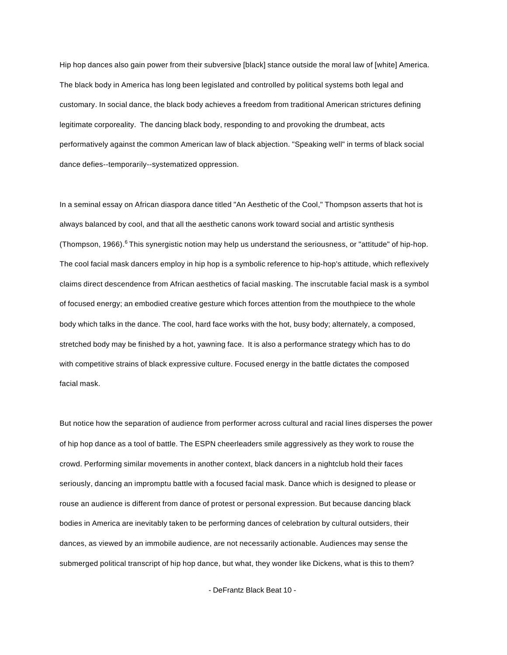Hip hop dances also gain power from their subversive [black] stance outside the moral law of [white] America. The black body in America has long been legislated and controlled by political systems both legal and customary. In social dance, the black body achieves a freedom from traditional American strictures defining legitimate corporeality. The dancing black body, responding to and provoking the drumbeat, acts performatively against the common American law of black abjection. "Speaking well" in terms of black social dance defies--temporarily--systematized oppression.

In a seminal essay on African diaspora dance titled "An Aesthetic of the Cool," Thompson asserts that hot is always balanced by cool, and that all the aesthetic canons work toward social and artistic synthesis (Thompson, 1966).<sup>6</sup> This synergistic notion may help us understand the seriousness, or "attitude" of hip-hop. The cool facial mask dancers employ in hip hop is a symbolic reference to hip-hop's attitude, which reflexively claims direct descendence from African aesthetics of facial masking. The inscrutable facial mask is a symbol of focused energy; an embodied creative gesture which forces attention from the mouthpiece to the whole body which talks in the dance. The cool, hard face works with the hot, busy body; alternately, a composed, stretched body may be finished by a hot, yawning face. It is also a performance strategy which has to do with competitive strains of black expressive culture. Focused energy in the battle dictates the composed facial mask.

But notice how the separation of audience from performer across cultural and racial lines disperses the power of hip hop dance as a tool of battle. The ESPN cheerleaders smile aggressively as they work to rouse the crowd. Performing similar movements in another context, black dancers in a nightclub hold their faces seriously, dancing an impromptu battle with a focused facial mask. Dance which is designed to please or rouse an audience is different from dance of protest or personal expression. But because dancing black bodies in America are inevitably taken to be performing dances of celebration by cultural outsiders, their dances, as viewed by an immobile audience, are not necessarily actionable. Audiences may sense the submerged political transcript of hip hop dance, but what, they wonder like Dickens, what is this to them?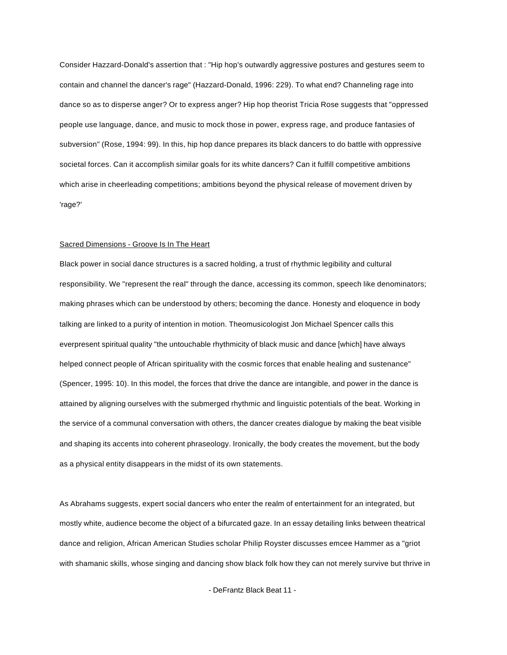Consider Hazzard-Donald's assertion that : "Hip hop's outwardly aggressive postures and gestures seem to contain and channel the dancer's rage" (Hazzard-Donald, 1996: 229). To what end? Channeling rage into dance so as to disperse anger? Or to express anger? Hip hop theorist Tricia Rose suggests that "oppressed people use language, dance, and music to mock those in power, express rage, and produce fantasies of subversion" (Rose, 1994: 99). In this, hip hop dance prepares its black dancers to do battle with oppressive societal forces. Can it accomplish similar goals for its white dancers? Can it fulfill competitive ambitions which arise in cheerleading competitions; ambitions beyond the physical release of movement driven by 'rage?'

# Sacred Dimensions - Groove Is In The Heart

Black power in social dance structures is a sacred holding, a trust of rhythmic legibility and cultural responsibility. We "represent the real" through the dance, accessing its common, speech like denominators; making phrases which can be understood by others; becoming the dance. Honesty and eloquence in body talking are linked to a purity of intention in motion. Theomusicologist Jon Michael Spencer calls this everpresent spiritual quality "the untouchable rhythmicity of black music and dance [which] have always helped connect people of African spirituality with the cosmic forces that enable healing and sustenance" (Spencer, 1995: 10). In this model, the forces that drive the dance are intangible, and power in the dance is attained by aligning ourselves with the submerged rhythmic and linguistic potentials of the beat. Working in the service of a communal conversation with others, the dancer creates dialogue by making the beat visible and shaping its accents into coherent phraseology. Ironically, the body creates the movement, but the body as a physical entity disappears in the midst of its own statements.

As Abrahams suggests, expert social dancers who enter the realm of entertainment for an integrated, but mostly white, audience become the object of a bifurcated gaze. In an essay detailing links between theatrical dance and religion, African American Studies scholar Philip Royster discusses emcee Hammer as a "griot with shamanic skills, whose singing and dancing show black folk how they can not merely survive but thrive in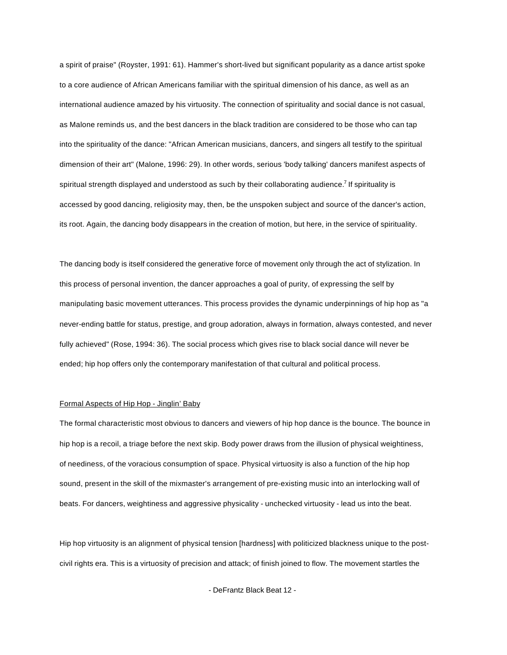a spirit of praise" (Royster, 1991: 61). Hammer's short-lived but significant popularity as a dance artist spoke to a core audience of African Americans familiar with the spiritual dimension of his dance, as well as an international audience amazed by his virtuosity. The connection of spirituality and social dance is not casual, as Malone reminds us, and the best dancers in the black tradition are considered to be those who can tap into the spirituality of the dance: "African American musicians, dancers, and singers all testify to the spiritual dimension of their art" (Malone, 1996: 29). In other words, serious 'body talking' dancers manifest aspects of spiritual strength displayed and understood as such by their collaborating audience.<sup>7</sup> If spirituality is accessed by good dancing, religiosity may, then, be the unspoken subject and source of the dancer's action, its root. Again, the dancing body disappears in the creation of motion, but here, in the service of spirituality.

The dancing body is itself considered the generative force of movement only through the act of stylization. In this process of personal invention, the dancer approaches a goal of purity, of expressing the self by manipulating basic movement utterances. This process provides the dynamic underpinnings of hip hop as "a never-ending battle for status, prestige, and group adoration, always in formation, always contested, and never fully achieved" (Rose, 1994: 36). The social process which gives rise to black social dance will never be ended; hip hop offers only the contemporary manifestation of that cultural and political process.

### Formal Aspects of Hip Hop - Jinglin' Baby

The formal characteristic most obvious to dancers and viewers of hip hop dance is the bounce. The bounce in hip hop is a recoil, a triage before the next skip. Body power draws from the illusion of physical weightiness, of neediness, of the voracious consumption of space. Physical virtuosity is also a function of the hip hop sound, present in the skill of the mixmaster's arrangement of pre-existing music into an interlocking wall of beats. For dancers, weightiness and aggressive physicality - unchecked virtuosity - lead us into the beat.

Hip hop virtuosity is an alignment of physical tension [hardness] with politicized blackness unique to the postcivil rights era. This is a virtuosity of precision and attack; of finish joined to flow. The movement startles the

- DeFrantz Black Beat 12 -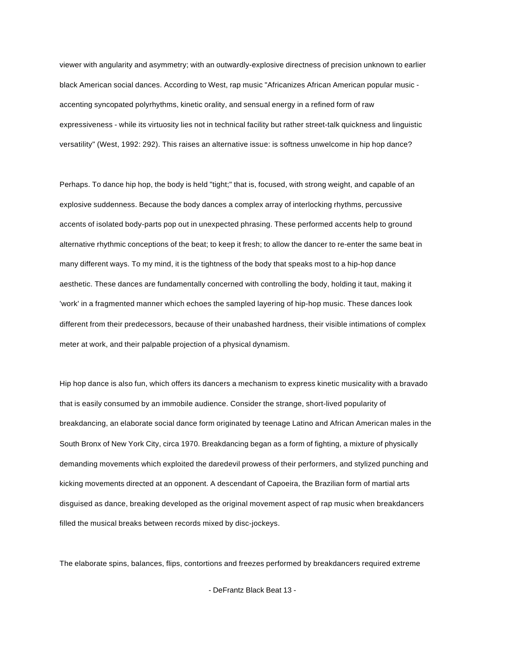viewer with angularity and asymmetry; with an outwardly-explosive directness of precision unknown to earlier black American social dances. According to West, rap music "Africanizes African American popular music accenting syncopated polyrhythms, kinetic orality, and sensual energy in a refined form of raw expressiveness - while its virtuosity lies not in technical facility but rather street-talk quickness and linguistic versatility" (West, 1992: 292). This raises an alternative issue: is softness unwelcome in hip hop dance?

Perhaps. To dance hip hop, the body is held "tight;" that is, focused, with strong weight, and capable of an explosive suddenness. Because the body dances a complex array of interlocking rhythms, percussive accents of isolated body-parts pop out in unexpected phrasing. These performed accents help to ground alternative rhythmic conceptions of the beat; to keep it fresh; to allow the dancer to re-enter the same beat in many different ways. To my mind, it is the tightness of the body that speaks most to a hip-hop dance aesthetic. These dances are fundamentally concerned with controlling the body, holding it taut, making it 'work' in a fragmented manner which echoes the sampled layering of hip-hop music. These dances look different from their predecessors, because of their unabashed hardness, their visible intimations of complex meter at work, and their palpable projection of a physical dynamism.

Hip hop dance is also fun, which offers its dancers a mechanism to express kinetic musicality with a bravado that is easily consumed by an immobile audience. Consider the strange, short-lived popularity of breakdancing, an elaborate social dance form originated by teenage Latino and African American males in the South Bronx of New York City, circa 1970. Breakdancing began as a form of fighting, a mixture of physically demanding movements which exploited the daredevil prowess of their performers, and stylized punching and kicking movements directed at an opponent. A descendant of Capoeira, the Brazilian form of martial arts disguised as dance, breaking developed as the original movement aspect of rap music when breakdancers filled the musical breaks between records mixed by disc-jockeys.

The elaborate spins, balances, flips, contortions and freezes performed by breakdancers required extreme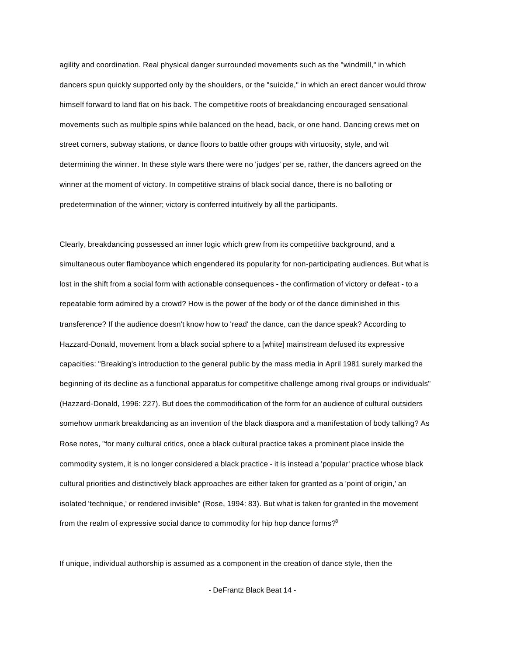agility and coordination. Real physical danger surrounded movements such as the "windmill," in which dancers spun quickly supported only by the shoulders, or the "suicide," in which an erect dancer would throw himself forward to land flat on his back. The competitive roots of breakdancing encouraged sensational movements such as multiple spins while balanced on the head, back, or one hand. Dancing crews met on street corners, subway stations, or dance floors to battle other groups with virtuosity, style, and wit determining the winner. In these style wars there were no 'judges' per se, rather, the dancers agreed on the winner at the moment of victory. In competitive strains of black social dance, there is no balloting or predetermination of the winner; victory is conferred intuitively by all the participants.

Clearly, breakdancing possessed an inner logic which grew from its competitive background, and a simultaneous outer flamboyance which engendered its popularity for non-participating audiences. But what is lost in the shift from a social form with actionable consequences - the confirmation of victory or defeat - to a repeatable form admired by a crowd? How is the power of the body or of the dance diminished in this transference? If the audience doesn't know how to 'read' the dance, can the dance speak? According to Hazzard-Donald, movement from a black social sphere to a [white] mainstream defused its expressive capacities: "Breaking's introduction to the general public by the mass media in April 1981 surely marked the beginning of its decline as a functional apparatus for competitive challenge among rival groups or individuals" (Hazzard-Donald, 1996: 227). But does the commodification of the form for an audience of cultural outsiders somehow unmark breakdancing as an invention of the black diaspora and a manifestation of body talking? As Rose notes, "for many cultural critics, once a black cultural practice takes a prominent place inside the commodity system, it is no longer considered a black practice - it is instead a 'popular' practice whose black cultural priorities and distinctively black approaches are either taken for granted as a 'point of origin,' an isolated 'technique,' or rendered invisible" (Rose, 1994: 83). But what is taken for granted in the movement from the realm of expressive social dance to commodity for hip hop dance forms?<sup>8</sup>

If unique, individual authorship is assumed as a component in the creation of dance style, then the

- DeFrantz Black Beat 14 -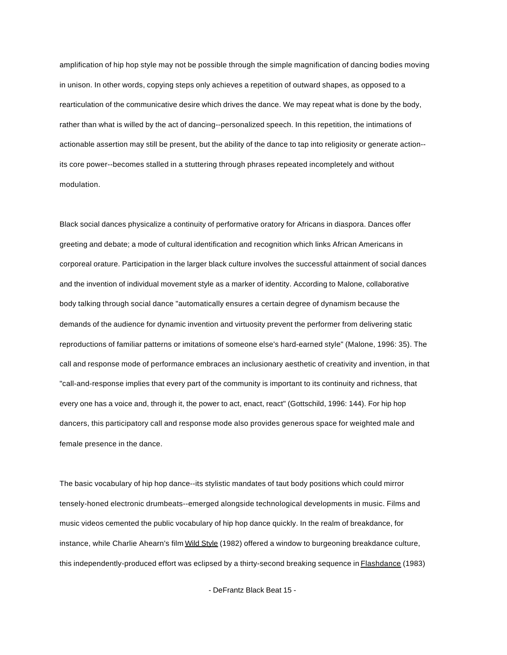amplification of hip hop style may not be possible through the simple magnification of dancing bodies moving in unison. In other words, copying steps only achieves a repetition of outward shapes, as opposed to a rearticulation of the communicative desire which drives the dance. We may repeat what is done by the body, rather than what is willed by the act of dancing--personalized speech. In this repetition, the intimations of actionable assertion may still be present, but the ability of the dance to tap into religiosity or generate action- its core power--becomes stalled in a stuttering through phrases repeated incompletely and without modulation.

Black social dances physicalize a continuity of performative oratory for Africans in diaspora. Dances offer greeting and debate; a mode of cultural identification and recognition which links African Americans in corporeal orature. Participation in the larger black culture involves the successful attainment of social dances and the invention of individual movement style as a marker of identity. According to Malone, collaborative body talking through social dance "automatically ensures a certain degree of dynamism because the demands of the audience for dynamic invention and virtuosity prevent the performer from delivering static reproductions of familiar patterns or imitations of someone else's hard-earned style" (Malone, 1996: 35). The call and response mode of performance embraces an inclusionary aesthetic of creativity and invention, in that "call-and-response implies that every part of the community is important to its continuity and richness, that every one has a voice and, through it, the power to act, enact, react" (Gottschild, 1996: 144). For hip hop dancers, this participatory call and response mode also provides generous space for weighted male and female presence in the dance.

The basic vocabulary of hip hop dance--its stylistic mandates of taut body positions which could mirror tensely-honed electronic drumbeats--emerged alongside technological developments in music. Films and music videos cemented the public vocabulary of hip hop dance quickly. In the realm of breakdance, for instance, while Charlie Ahearn's film Wild Style (1982) offered a window to burgeoning breakdance culture, this independently-produced effort was eclipsed by a thirty-second breaking sequence in **Flashdance** (1983)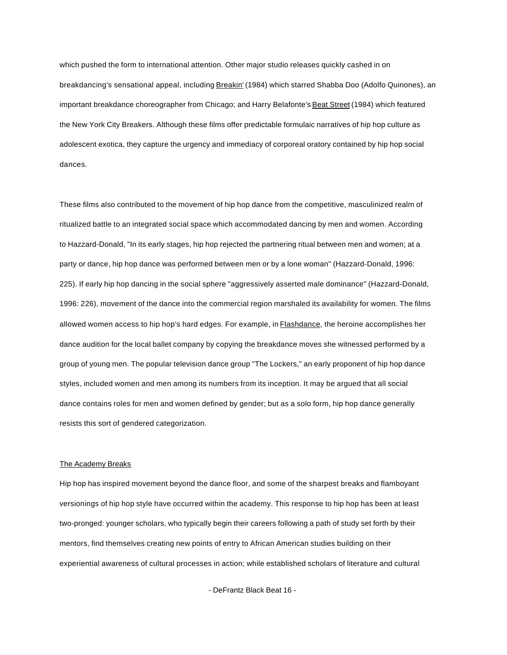which pushed the form to international attention. Other major studio releases quickly cashed in on breakdancing's sensational appeal, including Breakin' (1984) which starred Shabba Doo (Adolfo Quinones), an important breakdance choreographer from Chicago; and Harry Belafonte's Beat Street (1984) which featured the New York City Breakers. Although these films offer predictable formulaic narratives of hip hop culture as adolescent exotica, they capture the urgency and immediacy of corporeal oratory contained by hip hop social dances.

These films also contributed to the movement of hip hop dance from the competitive, masculinized realm of ritualized battle to an integrated social space which accommodated dancing by men and women. According to Hazzard-Donald, "In its early stages, hip hop rejected the partnering ritual between men and women; at a party or dance, hip hop dance was performed between men or by a lone woman" (Hazzard-Donald, 1996: 225). If early hip hop dancing in the social sphere "aggressively asserted male dominance" (Hazzard-Donald, 1996: 226), movement of the dance into the commercial region marshaled its availability for women. The films allowed women access to hip hop's hard edges. For example, in Flashdance, the heroine accomplishes her dance audition for the local ballet company by copying the breakdance moves she witnessed performed by a group of young men. The popular television dance group "The Lockers," an early proponent of hip hop dance styles, included women and men among its numbers from its inception. It may be argued that all social dance contains roles for men and women defined by gender; but as a solo form, hip hop dance generally resists this sort of gendered categorization.

# The Academy Breaks

Hip hop has inspired movement beyond the dance floor, and some of the sharpest breaks and flamboyant versionings of hip hop style have occurred within the academy. This response to hip hop has been at least two-pronged: younger scholars, who typically begin their careers following a path of study set forth by their mentors, find themselves creating new points of entry to African American studies building on their experiential awareness of cultural processes in action; while established scholars of literature and cultural

- DeFrantz Black Beat 16 -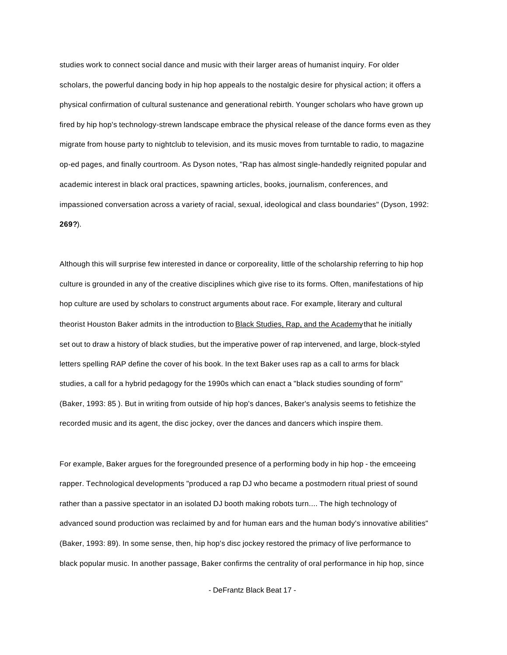studies work to connect social dance and music with their larger areas of humanist inquiry. For older scholars, the powerful dancing body in hip hop appeals to the nostalgic desire for physical action; it offers a physical confirmation of cultural sustenance and generational rebirth. Younger scholars who have grown up fired by hip hop's technology-strewn landscape embrace the physical release of the dance forms even as they migrate from house party to nightclub to television, and its music moves from turntable to radio, to magazine op-ed pages, and finally courtroom. As Dyson notes, "Rap has almost single-handedly reignited popular and academic interest in black oral practices, spawning articles, books, journalism, conferences, and impassioned conversation across a variety of racial, sexual, ideological and class boundaries" (Dyson, 1992: **269?**).

Although this will surprise few interested in dance or corporeality, little of the scholarship referring to hip hop culture is grounded in any of the creative disciplines which give rise to its forms. Often, manifestations of hip hop culture are used by scholars to construct arguments about race. For example, literary and cultural theorist Houston Baker admits in the introduction to Black Studies, Rap, and the Academy that he initially set out to draw a history of black studies, but the imperative power of rap intervened, and large, block-styled letters spelling RAP define the cover of his book. In the text Baker uses rap as a call to arms for black studies, a call for a hybrid pedagogy for the 1990s which can enact a "black studies sounding of form" (Baker, 1993: 85 ). But in writing from outside of hip hop's dances, Baker's analysis seems to fetishize the recorded music and its agent, the disc jockey, over the dances and dancers which inspire them.

For example, Baker argues for the foregrounded presence of a performing body in hip hop - the emceeing rapper. Technological developments "produced a rap DJ who became a postmodern ritual priest of sound rather than a passive spectator in an isolated DJ booth making robots turn.... The high technology of advanced sound production was reclaimed by and for human ears and the human body's innovative abilities" (Baker, 1993: 89). In some sense, then, hip hop's disc jockey restored the primacy of live performance to black popular music. In another passage, Baker confirms the centrality of oral performance in hip hop, since

- DeFrantz Black Beat 17 -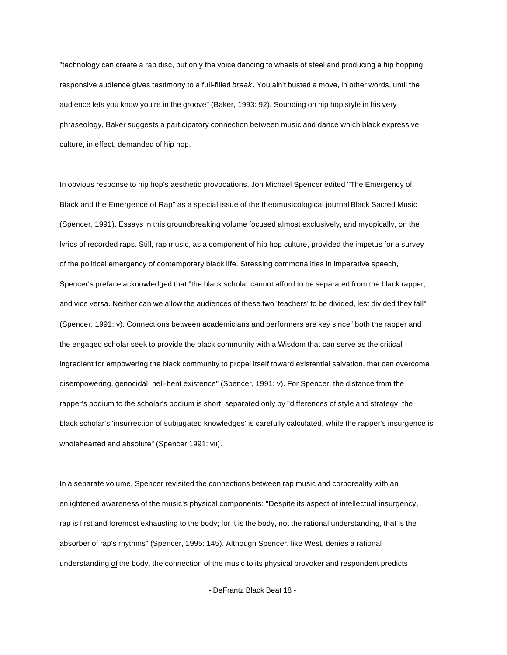"technology can create a rap disc, but only the voice dancing to wheels of steel and producing a hip hopping, responsive audience gives testimony to a full-filled *break*. You ain't busted a move, in other words, until the audience lets you know you're in the groove" (Baker, 1993: 92). Sounding on hip hop style in his very phraseology, Baker suggests a participatory connection between music and dance which black expressive culture, in effect, demanded of hip hop.

In obvious response to hip hop's aesthetic provocations, Jon Michael Spencer edited "The Emergency of Black and the Emergence of Rap" as a special issue of the theomusicological journal **Black Sacred Music** (Spencer, 1991). Essays in this groundbreaking volume focused almost exclusively, and myopically, on the lyrics of recorded raps. Still, rap music, as a component of hip hop culture, provided the impetus for a survey of the political emergency of contemporary black life. Stressing commonalities in imperative speech, Spencer's preface acknowledged that "the black scholar cannot afford to be separated from the black rapper, and vice versa. Neither can we allow the audiences of these two 'teachers' to be divided, lest divided they fall" (Spencer, 1991: v). Connections between academicians and performers are key since "both the rapper and the engaged scholar seek to provide the black community with a Wisdom that can serve as the critical ingredient for empowering the black community to propel itself toward existential salvation, that can overcome disempowering, genocidal, hell-bent existence" (Spencer, 1991: v). For Spencer, the distance from the rapper's podium to the scholar's podium is short, separated only by "differences of style and strategy: the black scholar's 'insurrection of subjugated knowledges' is carefully calculated, while the rapper's insurgence is wholehearted and absolute" (Spencer 1991: vii).

In a separate volume, Spencer revisited the connections between rap music and corporeality with an enlightened awareness of the music's physical components: "Despite its aspect of intellectual insurgency, rap is first and foremost exhausting to the body; for it is the body, not the rational understanding, that is the absorber of rap's rhythms" (Spencer, 1995: 145). Although Spencer, like West, denies a rational understanding of the body, the connection of the music to its physical provoker and respondent predicts

- DeFrantz Black Beat 18 -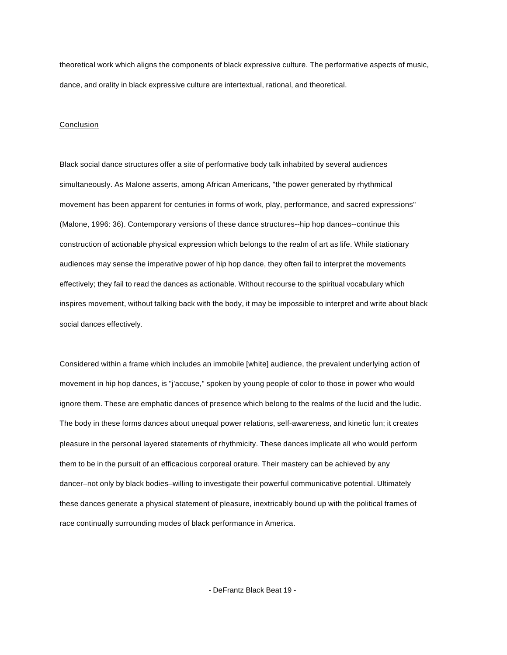theoretical work which aligns the components of black expressive culture. The performative aspects of music, dance, and orality in black expressive culture are intertextual, rational, and theoretical.

### Conclusion

Black social dance structures offer a site of performative body talk inhabited by several audiences simultaneously. As Malone asserts, among African Americans, "the power generated by rhythmical movement has been apparent for centuries in forms of work, play, performance, and sacred expressions" (Malone, 1996: 36). Contemporary versions of these dance structures--hip hop dances--continue this construction of actionable physical expression which belongs to the realm of art as life. While stationary audiences may sense the imperative power of hip hop dance, they often fail to interpret the movements effectively; they fail to read the dances as actionable. Without recourse to the spiritual vocabulary which inspires movement, without talking back with the body, it may be impossible to interpret and write about black social dances effectively.

Considered within a frame which includes an immobile [white] audience, the prevalent underlying action of movement in hip hop dances, is "j'accuse," spoken by young people of color to those in power who would ignore them. These are emphatic dances of presence which belong to the realms of the lucid and the ludic. The body in these forms dances about unequal power relations, self-awareness, and kinetic fun; it creates pleasure in the personal layered statements of rhythmicity. These dances implicate all who would perform them to be in the pursuit of an efficacious corporeal orature. Their mastery can be achieved by any dancer–not only by black bodies–willing to investigate their powerful communicative potential. Ultimately these dances generate a physical statement of pleasure, inextricably bound up with the political frames of race continually surrounding modes of black performance in America.

- DeFrantz Black Beat 19 -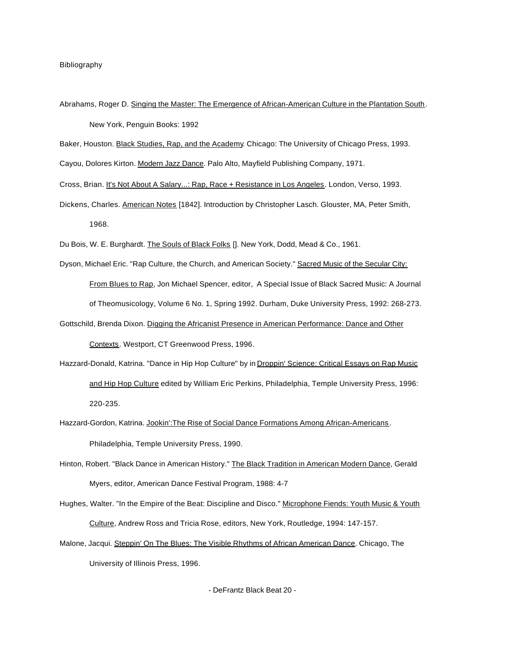# Bibliography

- Abrahams, Roger D. Singing the Master: The Emergence of African-American Culture in the Plantation South. New York, Penguin Books: 1992
- Baker, Houston. Black Studies, Rap, and the Academy. Chicago: The University of Chicago Press, 1993.
- Cayou, Dolores Kirton. Modern Jazz Dance. Palo Alto, Mayfield Publishing Company, 1971.
- Cross, Brian. It's Not About A Salary...: Rap, Race + Resistance in Los Angeles. London, Verso, 1993.
- Dickens, Charles. American Notes [1842]. Introduction by Christopher Lasch. Glouster, MA, Peter Smith, 1968.
- Du Bois, W. E. Burghardt. The Souls of Black Folks []. New York, Dodd, Mead & Co., 1961.
- Dyson, Michael Eric. "Rap Culture, the Church, and American Society." Sacred Music of the Secular City: From Blues to Rap, Jon Michael Spencer, editor, A Special Issue of Black Sacred Music: A Journal of Theomusicology, Volume 6 No. 1, Spring 1992. Durham, Duke University Press, 1992: 268-273.
- Gottschild, Brenda Dixon. Digging the Africanist Presence in American Performance: Dance and Other

Contexts. Westport, CT Greenwood Press, 1996.

- Hazzard-Donald, Katrina. "Dance in Hip Hop Culture" by in Droppin' Science: Critical Essays on Rap Music and Hip Hop Culture edited by William Eric Perkins, Philadelphia, Temple University Press, 1996: 220-235.
- Hazzard-Gordon, Katrina. Jookin':The Rise of Social Dance Formations Among African-Americans. Philadelphia, Temple University Press, 1990.
- Hinton, Robert. "Black Dance in American History." The Black Tradition in American Modern Dance, Gerald Myers, editor, American Dance Festival Program, 1988: 4-7
- Hughes, Walter. "In the Empire of the Beat: Discipline and Disco." Microphone Fiends: Youth Music & Youth Culture, Andrew Ross and Tricia Rose, editors, New York, Routledge, 1994: 147-157.
- Malone, Jacqui. Steppin' On The Blues: The Visible Rhythms of African American Dance. Chicago, The University of Illinois Press, 1996.

- DeFrantz Black Beat 20 -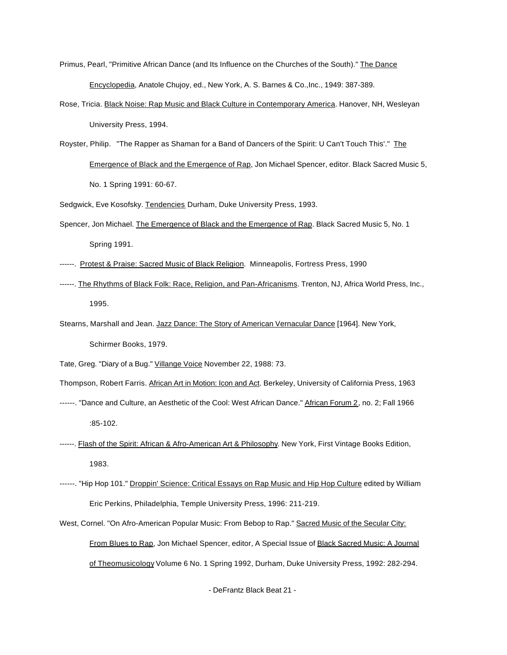- Primus, Pearl, "Primitive African Dance (and Its Influence on the Churches of the South)." The Dance Encyclopedia, Anatole Chujoy, ed., New York, A. S. Barnes & Co.,Inc., 1949: 387-389.
- Rose, Tricia. Black Noise: Rap Music and Black Culture in Contemporary America. Hanover, NH, Wesleyan University Press, 1994.
- Royster, Philip. "The Rapper as Shaman for a Band of Dancers of the Spirit: U Can't Touch This'." The Emergence of Black and the Emergence of Rap, Jon Michael Spencer, editor. Black Sacred Music 5, No. 1 Spring 1991: 60-67.
- Sedgwick, Eve Kosofsky. Tendencies Durham, Duke University Press, 1993.
- Spencer, Jon Michael. The Emergence of Black and the Emergence of Rap. Black Sacred Music 5, No. 1 Spring 1991.
- ------. Protest & Praise: Sacred Music of Black Religion. Minneapolis, Fortress Press, 1990
- ------. The Rhythms of Black Folk: Race, Religion, and Pan-Africanisms. Trenton, NJ, Africa World Press, Inc., 1995.
- Stearns, Marshall and Jean. Jazz Dance: The Story of American Vernacular Dance [1964]. New York, Schirmer Books, 1979.
- Tate, Greg. "Diary of a Bug." Villange Voice November 22, 1988: 73.
- Thompson, Robert Farris. African Art in Motion: Icon and Act. Berkeley, University of California Press, 1963
- ------. "Dance and Culture, an Aesthetic of the Cool: West African Dance." African Forum 2, no. 2; Fall 1966 :85-102.
- ------. Flash of the Spirit: African & Afro-American Art & Philosophy. New York, First Vintage Books Edition, 1983.
- ------. "Hip Hop 101." Droppin' Science: Critical Essays on Rap Music and Hip Hop Culture edited by William Eric Perkins, Philadelphia, Temple University Press, 1996: 211-219.
- West, Cornel. "On Afro-American Popular Music: From Bebop to Rap." Sacred Music of the Secular City: From Blues to Rap, Jon Michael Spencer, editor, A Special Issue of Black Sacred Music: A Journal of Theomusicology Volume 6 No. 1 Spring 1992, Durham, Duke University Press, 1992: 282-294.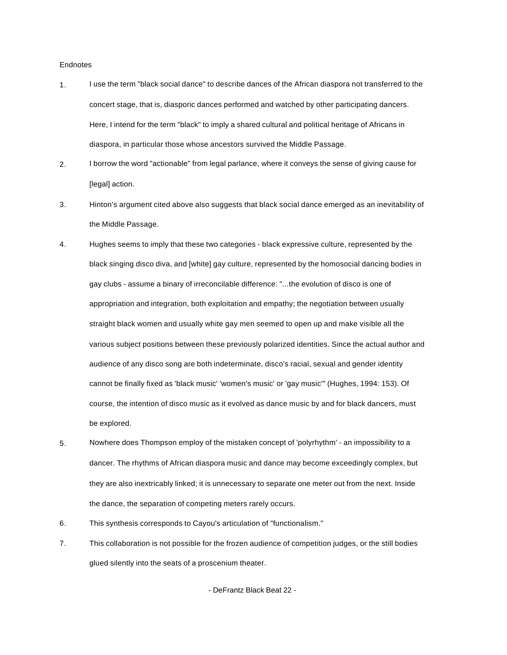#### Endnotes

- 1. I use the term "black social dance" to describe dances of the African diaspora not transferred to the concert stage, that is, diasporic dances performed and watched by other participating dancers. Here, I intend for the term "black" to imply a shared cultural and political heritage of Africans in diaspora, in particular those whose ancestors survived the Middle Passage.
- 2. I borrow the word "actionable" from legal parlance, where it conveys the sense of giving cause for [legal] action.
- 3. Hinton's argument cited above also suggests that black social dance emerged as an inevitability of the Middle Passage.
- 4. Hughes seems to imply that these two categories black expressive culture, represented by the black singing disco diva, and [white] gay culture, represented by the homosocial dancing bodies in gay clubs - assume a binary of irreconcilable difference: "...the evolution of disco is one of appropriation and integration, both exploitation and empathy; the negotiation between usually straight black women and usually white gay men seemed to open up and make visible all the various subject positions between these previously polarized identities. Since the actual author and audience of any disco song are both indeterminate, disco's racial, sexual and gender identity cannot be finally fixed as 'black music' 'women's music' or 'gay music'" (Hughes, 1994: 153). Of course, the intention of disco music as it evolved as dance music by and for black dancers, must be explored.
- 5. Nowhere does Thompson employ of the mistaken concept of 'polyrhythm' an impossibility to a dancer. The rhythms of African diaspora music and dance may become exceedingly complex, but they are also inextricably linked; it is unnecessary to separate one meter out from the next. Inside the dance, the separation of competing meters rarely occurs.
- 6. This synthesis corresponds to Cayou's articulation of "functionalism."
- 7. This collaboration is not possible for the frozen audience of competition judges, or the still bodies glued silently into the seats of a proscenium theater.

- DeFrantz Black Beat 22 -